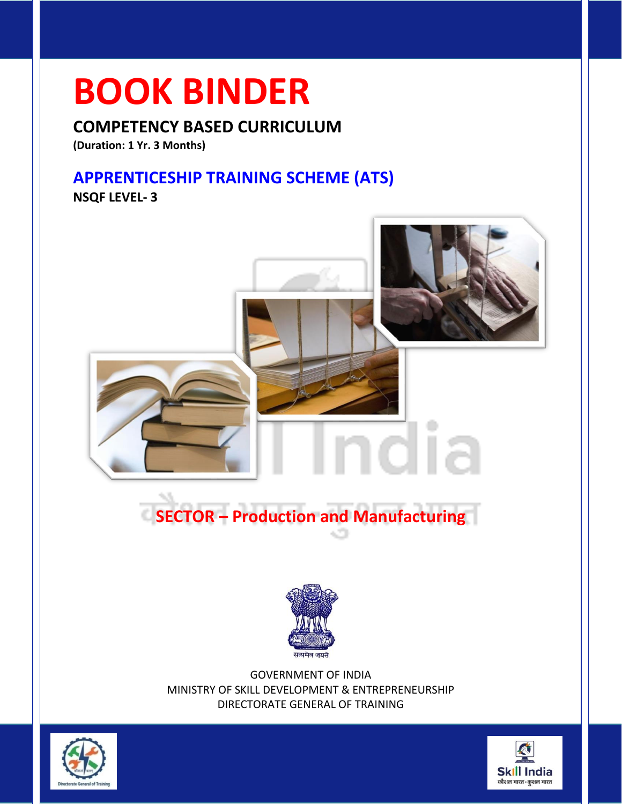### **BOOK BINDER**

**COMPETENCY BASED CURRICULUM**

**(Duration: 1 Yr. 3 Months)**

#### **APPRENTICESHIP TRAINING SCHEME (ATS)**

**NSQF LEVEL- 3**



GOVERNMENT OF INDIA MINISTRY OF SKILL DEVELOPMENT & ENTREPRENEURSHIP DIRECTORATE GENERAL OF TRAINING



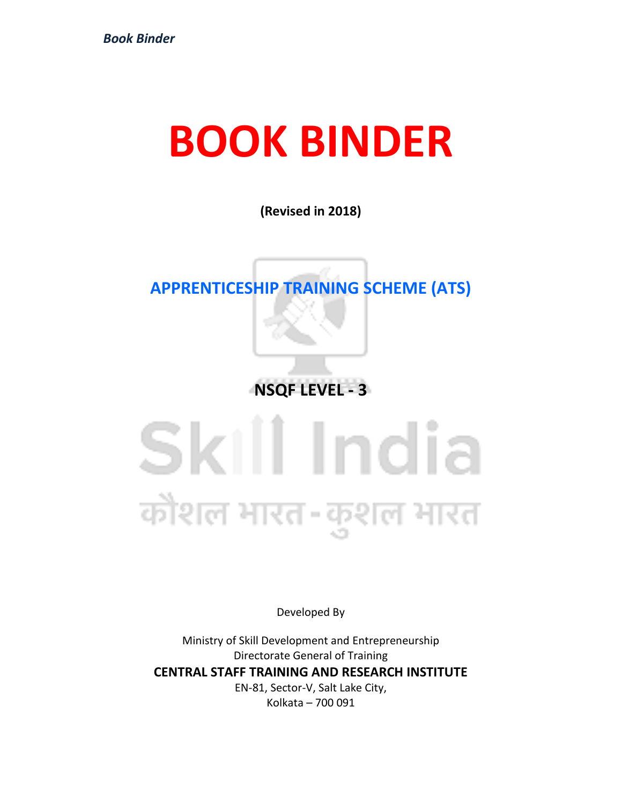### **BOOK BINDER**

**(Revised in 2018)**

### **APPRENTICESHIP TRAINING SCHEME (ATS)**

**NSQF LEVEL - 3**

# Skill India कोशल भारत-कुशल भारत

Developed By

Ministry of Skill Development and Entrepreneurship Directorate General of Training **CENTRAL STAFF TRAINING AND RESEARCH INSTITUTE** EN-81, Sector-V, Salt Lake City, Kolkata – 700 091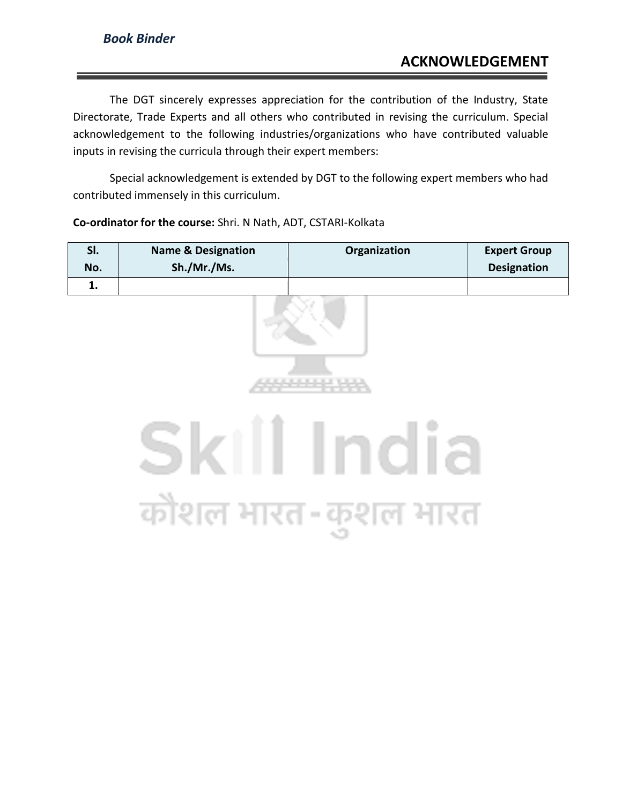The DGT sincerely expresses appreciation for the contribution of the Industry, State Directorate, Trade Experts and all others who contributed in revising the curriculum. Special acknowledgement to the following industries/organizations who have contributed valuable inputs in revising the curricula through their expert members:

Special acknowledgement is extended by DGT to the following expert members who had contributed immensely in this curriculum.

### **Sl. Name & Designation Organization Expert Group No. Sh./Mr./Ms. Designation 1.** Skill India कोशल भारत-कुशल भारत

#### **Co-ordinator for the course:** Shri. N Nath, ADT, CSTARI-Kolkata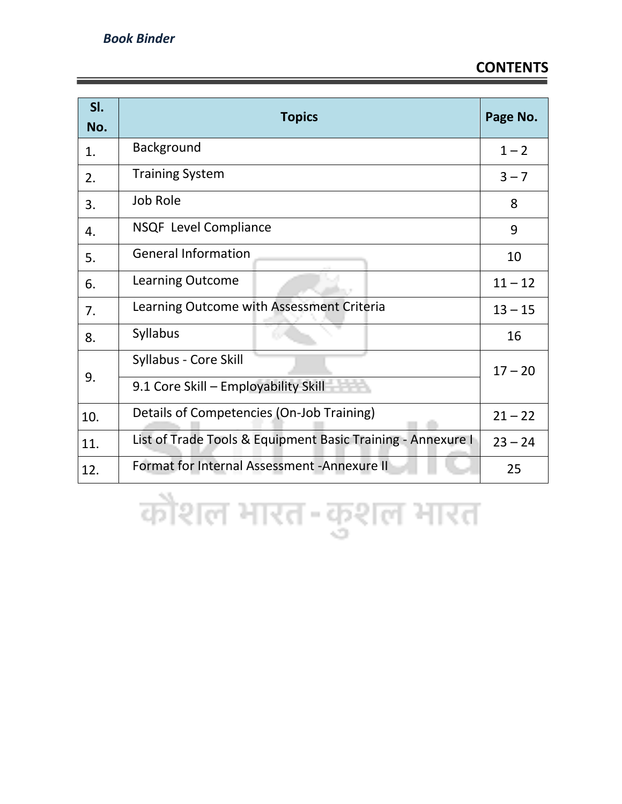| SI.<br>No. | <b>Topics</b>                                               | Page No.  |
|------------|-------------------------------------------------------------|-----------|
| 1.         | Background                                                  | $1 - 2$   |
| 2.         | <b>Training System</b>                                      | $3 - 7$   |
| 3.         | Job Role                                                    | 8         |
| 4.         | <b>NSQF</b> Level Compliance                                | 9         |
| 5.         | <b>General Information</b>                                  | 10        |
| 6.         | Learning Outcome                                            | $11 - 12$ |
| 7.         | Learning Outcome with Assessment Criteria                   | $13 - 15$ |
| 8.         | <b>Syllabus</b>                                             | 16        |
|            | Syllabus - Core Skill                                       | $17 - 20$ |
| 9.         | 9.1 Core Skill - Employability Skill                        |           |
| 10.        | Details of Competencies (On-Job Training)                   |           |
| 11.        | List of Trade Tools & Equipment Basic Training - Annexure I |           |
| 12.        | Format for Internal Assessment - Annexure II                |           |

कोशल भारत-कुशल भारत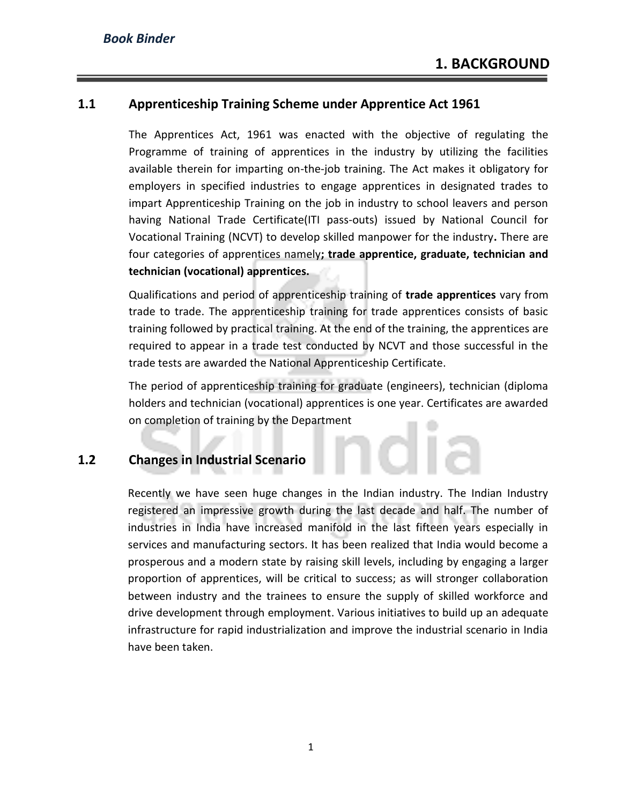#### **1.1 Apprenticeship Training Scheme under Apprentice Act 1961**

The Apprentices Act, 1961 was enacted with the objective of regulating the Programme of training of apprentices in the industry by utilizing the facilities available therein for imparting on-the-job training. The Act makes it obligatory for employers in specified industries to engage apprentices in designated trades to impart Apprenticeship Training on the job in industry to school leavers and person having National Trade Certificate(ITI pass-outs) issued by National Council for Vocational Training (NCVT) to develop skilled manpower for the industry**.** There are four categories of apprentices namely**; trade apprentice, graduate, technician and technician (vocational) apprentices.** 

Qualifications and period of apprenticeship training of **trade apprentices** vary from trade to trade. The apprenticeship training for trade apprentices consists of basic training followed by practical training. At the end of the training, the apprentices are required to appear in a trade test conducted by NCVT and those successful in the trade tests are awarded the National Apprenticeship Certificate.

The period of apprenticeship training for graduate (engineers), technician (diploma holders and technician (vocational) apprentices is one year. Certificates are awarded on completion of training by the Department

#### **1.2 Changes in Industrial Scenario**

Recently we have seen huge changes in the Indian industry. The Indian Industry registered an impressive growth during the last decade and half. The number of industries in India have increased manifold in the last fifteen years especially in services and manufacturing sectors. It has been realized that India would become a prosperous and a modern state by raising skill levels, including by engaging a larger proportion of apprentices, will be critical to success; as will stronger collaboration between industry and the trainees to ensure the supply of skilled workforce and drive development through employment. Various initiatives to build up an adequate infrastructure for rapid industrialization and improve the industrial scenario in India have been taken.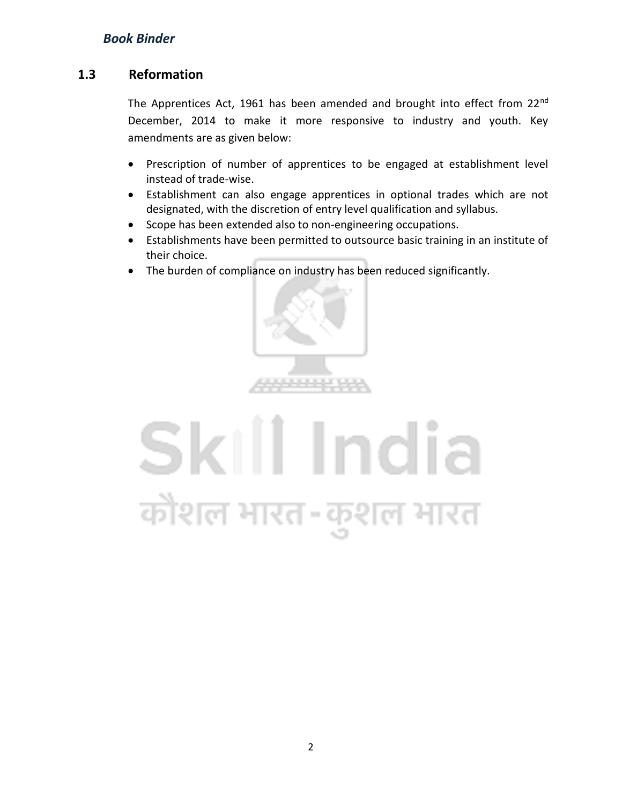#### **1.3 Reformation**

The Apprentices Act, 1961 has been amended and brought into effect from 22<sup>nd</sup> December, 2014 to make it more responsive to industry and youth. Key amendments are as given below:

- Prescription of number of apprentices to be engaged at establishment level instead of trade-wise.
- Establishment can also engage apprentices in optional trades which are not designated, with the discretion of entry level qualification and syllabus.
- Scope has been extended also to non-engineering occupations.
- Establishments have been permitted to outsource basic training in an institute of their choice.
- The burden of compliance on industry has been reduced significantly.



## Skill India कोशल भारत-कुशल भारत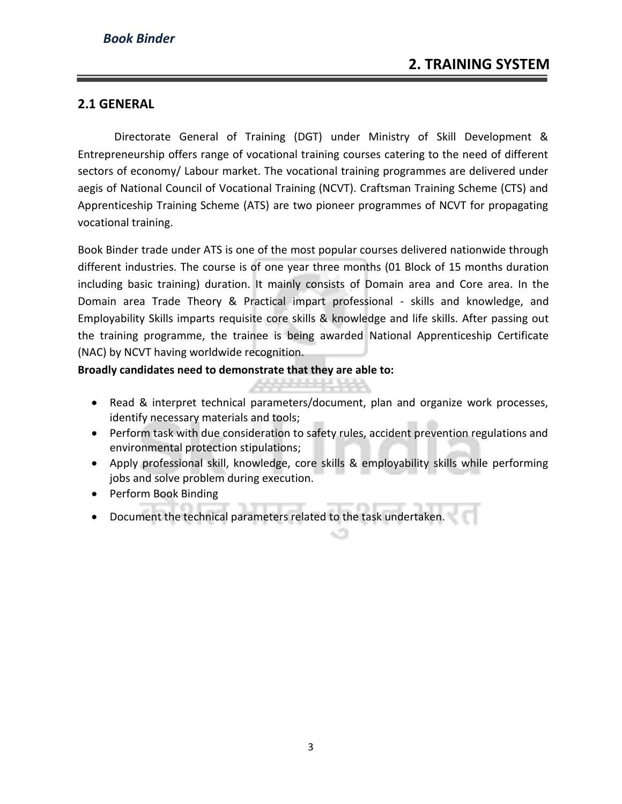#### **2.1 GENERAL**

Directorate General of Training (DGT) under Ministry of Skill Development & Entrepreneurship offers range of vocational training courses catering to the need of different sectors of economy/ Labour market. The vocational training programmes are delivered under aegis of National Council of Vocational Training (NCVT). Craftsman Training Scheme (CTS) and Apprenticeship Training Scheme (ATS) are two pioneer programmes of NCVT for propagating vocational training.

Book Binder trade under ATS is one of the most popular courses delivered nationwide through different industries. The course is of one year three months (01 Block of 15 months duration including basic training) duration. It mainly consists of Domain area and Core area. In the Domain area Trade Theory & Practical impart professional - skills and knowledge, and Employability Skills imparts requisite core skills & knowledge and life skills. After passing out the training programme, the trainee is being awarded National Apprenticeship Certificate (NAC) by NCVT having worldwide recognition.

**Broadly candidates need to demonstrate that they are able to:**

- Read & interpret technical parameters/document, plan and organize work processes, identify necessary materials and tools;
- Perform task with due consideration to safety rules, accident prevention regulations and environmental protection stipulations;
- Apply professional skill, knowledge, core skills & employability skills while performing jobs and solve problem during execution.
- Perform Book Binding
- Document the technical parameters related to the task undertaken.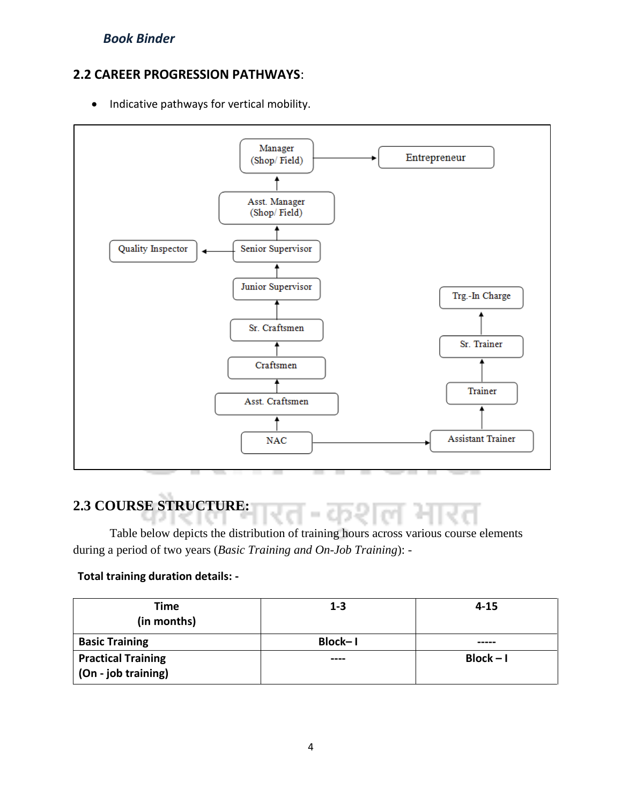#### **2.2 CAREER PROGRESSION PATHWAYS**:

• Indicative pathways for vertical mobility.



#### **2.3 COURSE STRUCTURE:**

Table below depicts the distribution of training hours across various course elements during a period of two years (*Basic Training and On-Job Training*): -

#### **Total training duration details: -**

| <b>Time</b>                                        | $1 - 3$ | $4 - 15$    |
|----------------------------------------------------|---------|-------------|
| (in months)                                        |         |             |
| <b>Basic Training</b>                              | Block-1 |             |
| <b>Practical Training</b><br>  (On - job training) | ----    | $Block - I$ |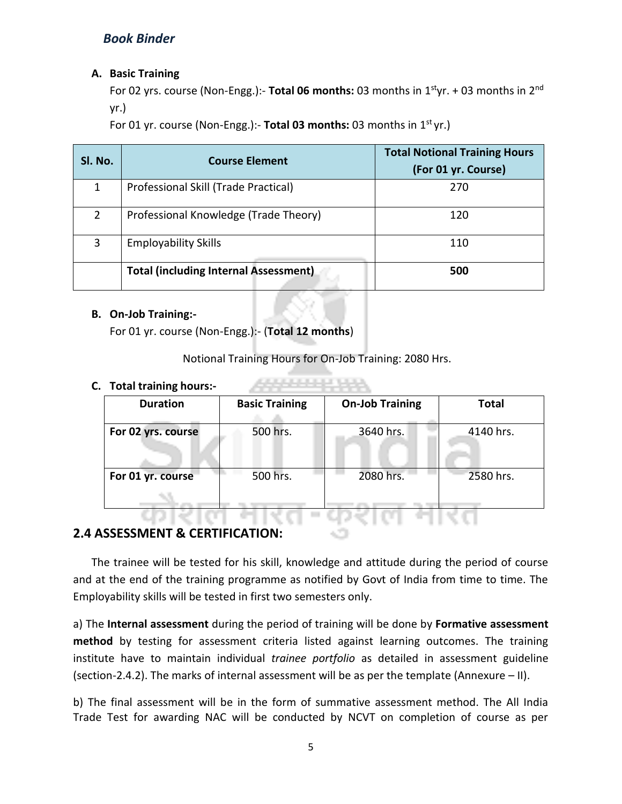#### **A. Basic Training**

For 02 yrs. course (Non-Engg.):- **Total 06 months:** 03 months in 1styr. + 03 months in 2nd yr.)

For 01 yr. course (Non-Engg.):- Total 03 months: 03 months in 1<sup>st</sup> yr.)

| Sl. No.        | <b>Course Element</b>                        | <b>Total Notional Training Hours</b><br>(For 01 yr. Course) |
|----------------|----------------------------------------------|-------------------------------------------------------------|
| 1              | Professional Skill (Trade Practical)         | 270                                                         |
| $\overline{2}$ | Professional Knowledge (Trade Theory)        | 120                                                         |
| 3              | <b>Employability Skills</b>                  | 110                                                         |
|                | <b>Total (including Internal Assessment)</b> | 500                                                         |

#### **B. On-Job Training:-**

For 01 yr. course (Non-Engg.):- (**Total 12 months**)

Notional Training Hours for On-Job Training: 2080 Hrs.

444444444

#### **C. Total training hours:-**

| <b>Duration</b>    | <b>Basic Training</b> | <b>On-Job Training</b> | <b>Total</b> |
|--------------------|-----------------------|------------------------|--------------|
| For 02 yrs. course | 500 hrs.              | 3640 hrs.              | 4140 hrs.    |
| For 01 yr. course  | 500 hrs.              | 2080 hrs.              | 2580 hrs.    |
|                    |                       |                        |              |

#### **2.4 ASSESSMENT & CERTIFICATION:**

The trainee will be tested for his skill, knowledge and attitude during the period of course and at the end of the training programme as notified by Govt of India from time to time. The Employability skills will be tested in first two semesters only.

a) The **Internal assessment** during the period of training will be done by **Formative assessment method** by testing for assessment criteria listed against learning outcomes. The training institute have to maintain individual *trainee portfolio* as detailed in assessment guideline (section-2.4.2). The marks of internal assessment will be as per the template (Annexure – II).

b) The final assessment will be in the form of summative assessment method. The All India Trade Test for awarding NAC will be conducted by NCVT on completion of course as per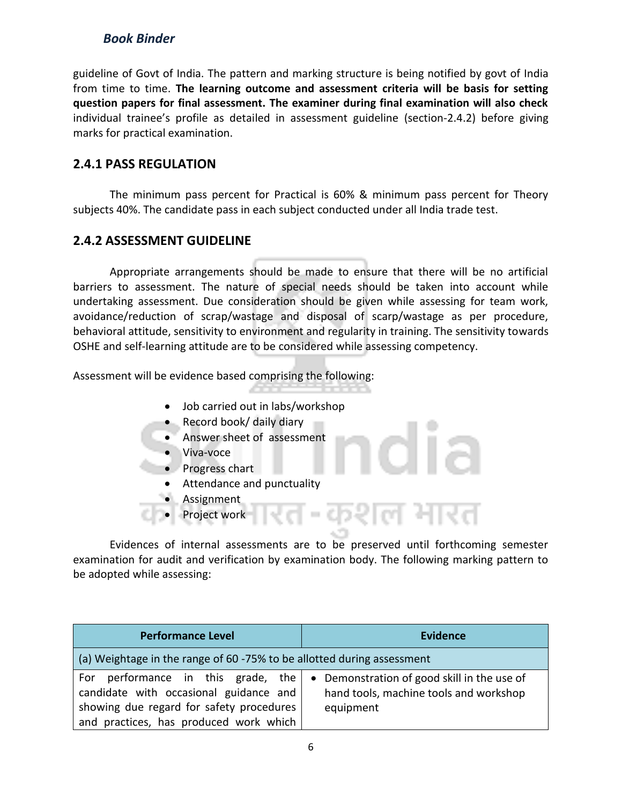guideline of Govt of India. The pattern and marking structure is being notified by govt of India from time to time. **The learning outcome and assessment criteria will be basis for setting question papers for final assessment. The examiner during final examination will also check**  individual trainee's profile as detailed in assessment guideline (section-2.4.2) before giving marks for practical examination.

#### **2.4.1 PASS REGULATION**

The minimum pass percent for Practical is 60% & minimum pass percent for Theory subjects 40%. The candidate pass in each subject conducted under all India trade test.

#### **2.4.2 ASSESSMENT GUIDELINE**

Appropriate arrangements should be made to ensure that there will be no artificial barriers to assessment. The nature of special needs should be taken into account while undertaking assessment. Due consideration should be given while assessing for team work, avoidance/reduction of scrap/wastage and disposal of scarp/wastage as per procedure, behavioral attitude, sensitivity to environment and regularity in training. The sensitivity towards OSHE and self-learning attitude are to be considered while assessing competency.

Assessment will be evidence based comprising the following:

- Job carried out in labs/workshop
- Record book/ daily diary
- Answer sheet of assessment
- Viva-voce
- Progress chart
	- Attendance and punctuality
- **Assignment**
- Project work

Evidences of internal assessments are to be preserved until forthcoming semester examination for audit and verification by examination body. The following marking pattern to be adopted while assessing:

 $\epsilon$ 

ल मार

| <b>Performance Level</b>                                                                                                                                           | <b>Evidence</b>                                                                                    |
|--------------------------------------------------------------------------------------------------------------------------------------------------------------------|----------------------------------------------------------------------------------------------------|
| (a) Weightage in the range of 60 -75% to be allotted during assessment                                                                                             |                                                                                                    |
| For performance in this grade, the<br>candidate with occasional guidance and<br>showing due regard for safety procedures<br>and practices, has produced work which | • Demonstration of good skill in the use of<br>hand tools, machine tools and workshop<br>equipment |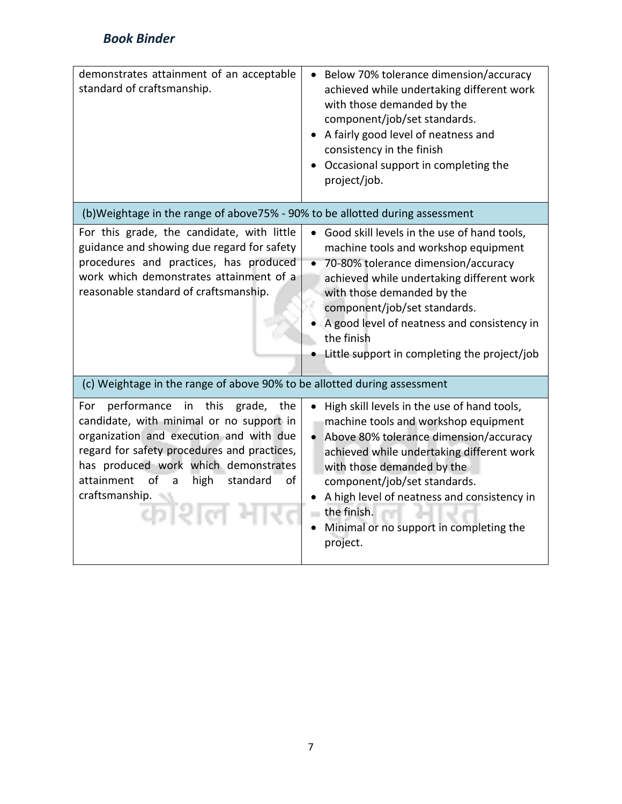| demonstrates attainment of an acceptable<br>standard of craftsmanship.                                                                                                                                                                                                                                       | Below 70% tolerance dimension/accuracy<br>achieved while undertaking different work<br>with those demanded by the<br>component/job/set standards.<br>A fairly good level of neatness and<br>consistency in the finish<br>Occasional support in completing the<br>project/job.                                                                                              |
|--------------------------------------------------------------------------------------------------------------------------------------------------------------------------------------------------------------------------------------------------------------------------------------------------------------|----------------------------------------------------------------------------------------------------------------------------------------------------------------------------------------------------------------------------------------------------------------------------------------------------------------------------------------------------------------------------|
| (b) Weightage in the range of above 75% - 90% to be allotted during assessment                                                                                                                                                                                                                               |                                                                                                                                                                                                                                                                                                                                                                            |
| For this grade, the candidate, with little<br>guidance and showing due regard for safety<br>procedures and practices, has produced<br>work which demonstrates attainment of a<br>reasonable standard of craftsmanship.                                                                                       | Good skill levels in the use of hand tools,<br>machine tools and workshop equipment<br>70-80% tolerance dimension/accuracy<br>achieved while undertaking different work<br>with those demanded by the<br>component/job/set standards.<br>A good level of neatness and consistency in<br>the finish<br>Little support in completing the project/job                         |
| (c) Weightage in the range of above 90% to be allotted during assessment                                                                                                                                                                                                                                     |                                                                                                                                                                                                                                                                                                                                                                            |
| performance<br>For<br>in<br>this<br>grade,<br>the<br>candidate, with minimal or no support in<br>organization and execution and with due<br>regard for safety procedures and practices,<br>has produced work which demonstrates<br>attainment<br>of<br>high<br>standard<br>of<br>a<br>craftsmanship.<br>न शल | High skill levels in the use of hand tools,<br>machine tools and workshop equipment<br>Above 80% tolerance dimension/accuracy<br>$\bullet$<br>achieved while undertaking different work<br>with those demanded by the<br>component/job/set standards.<br>A high level of neatness and consistency in<br>the finish.<br>Minimal or no support in completing the<br>project. |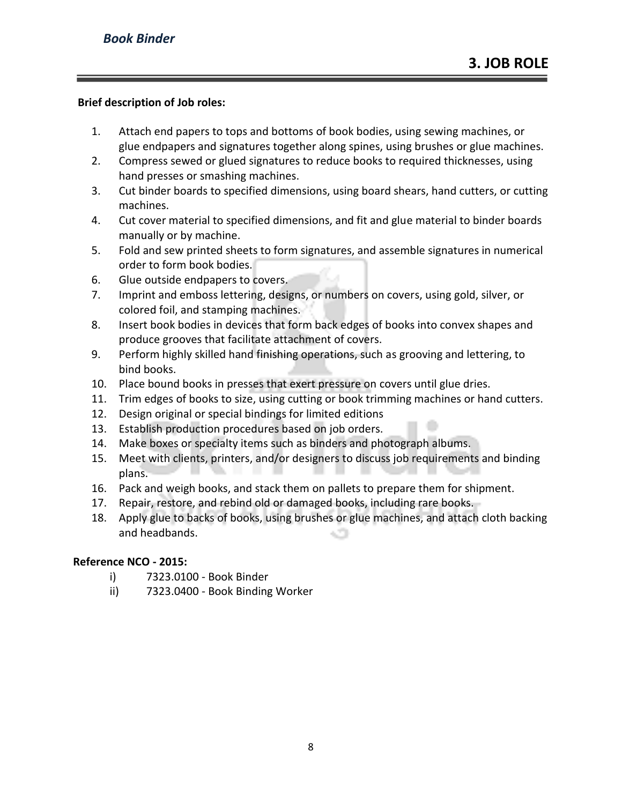#### **Brief description of Job roles:**

- 1. Attach end papers to tops and bottoms of book bodies, using sewing machines, or glue endpapers and signatures together along spines, using brushes or glue machines.
- 2. Compress sewed or glued signatures to reduce books to required thicknesses, using hand presses or smashing machines.
- 3. Cut binder boards to specified dimensions, using board shears, hand cutters, or cutting machines.
- 4. Cut cover material to specified dimensions, and fit and glue material to binder boards manually or by machine.
- 5. Fold and sew printed sheets to form signatures, and assemble signatures in numerical order to form book bodies.
- 6. Glue outside endpapers to covers.
- 7. Imprint and emboss lettering, designs, or numbers on covers, using gold, silver, or colored foil, and stamping machines.
- 8. Insert book bodies in devices that form back edges of books into convex shapes and produce grooves that facilitate attachment of covers.
- 9. Perform highly skilled hand finishing operations, such as grooving and lettering, to bind books.
- 10. Place bound books in presses that exert pressure on covers until glue dries.
- 11. Trim edges of books to size, using cutting or book trimming machines or hand cutters.
- 12. Design original or special bindings for limited editions
- 13. Establish production procedures based on job orders.
- 14. Make boxes or specialty items such as binders and photograph albums.
- 15. Meet with clients, printers, and/or designers to discuss job requirements and binding plans.
- 16. Pack and weigh books, and stack them on pallets to prepare them for shipment.
- 17. Repair, restore, and rebind old or damaged books, including rare books.
- 18. Apply glue to backs of books, using brushes or glue machines, and attach cloth backing and headbands.

#### **Reference NCO - 2015:**

- i) 7323.0100 Book Binder
- ii) 7323.0400 Book Binding Worker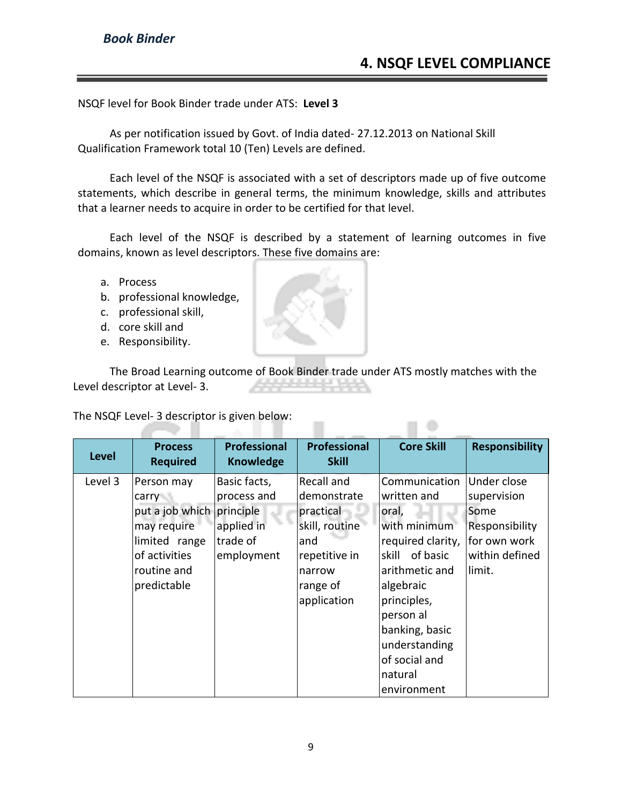œ

NSQF level for Book Binder trade under ATS: **Level 3**

As per notification issued by Govt. of India dated- 27.12.2013 on National Skill Qualification Framework total 10 (Ten) Levels are defined.

Each level of the NSQF is associated with a set of descriptors made up of five outcome statements, which describe in general terms, the minimum knowledge, skills and attributes that a learner needs to acquire in order to be certified for that level.

Each level of the NSQF is described by a statement of learning outcomes in five domains, known as level descriptors. These five domains are:

- a. Process
- b. professional knowledge,
- c. professional skill,
- d. core skill and
- e. Responsibility.

The Broad Learning outcome of Book Binder trade under ATS mostly matches with the Level descriptor at Level- 3.

The NSQF Level- 3 descriptor is given below:

| <b>Level</b> | <b>Process</b><br><b>Required</b>                                                                                     | <b>Professional</b><br><b>Knowledge</b>                                          | <b>Professional</b><br><b>Skill</b>                                                                                   | <b>Core Skill</b>                                                                                                                                                                                                                        | <b>Responsibility</b>                                                                            |
|--------------|-----------------------------------------------------------------------------------------------------------------------|----------------------------------------------------------------------------------|-----------------------------------------------------------------------------------------------------------------------|------------------------------------------------------------------------------------------------------------------------------------------------------------------------------------------------------------------------------------------|--------------------------------------------------------------------------------------------------|
| Level 3      | Person may<br>carry<br>put a job which<br>may require<br>limited range<br>of activities<br>routine and<br>predictable | Basic facts,<br>process and<br>principle<br>applied in<br>trade of<br>employment | Recall and<br>demonstrate<br>practical<br>skill, routine<br>and<br>repetitive in<br>narrow<br>range of<br>application | Communication<br>written and<br>oral,<br>with minimum<br>required clarity,<br>of basic<br>skill<br>arithmetic and<br>algebraic<br>principles,<br>person al<br>banking, basic<br>understanding<br>of social and<br>natural<br>environment | Under close<br>supervision<br>Some<br>Responsibility<br>for own work<br>within defined<br>limit. |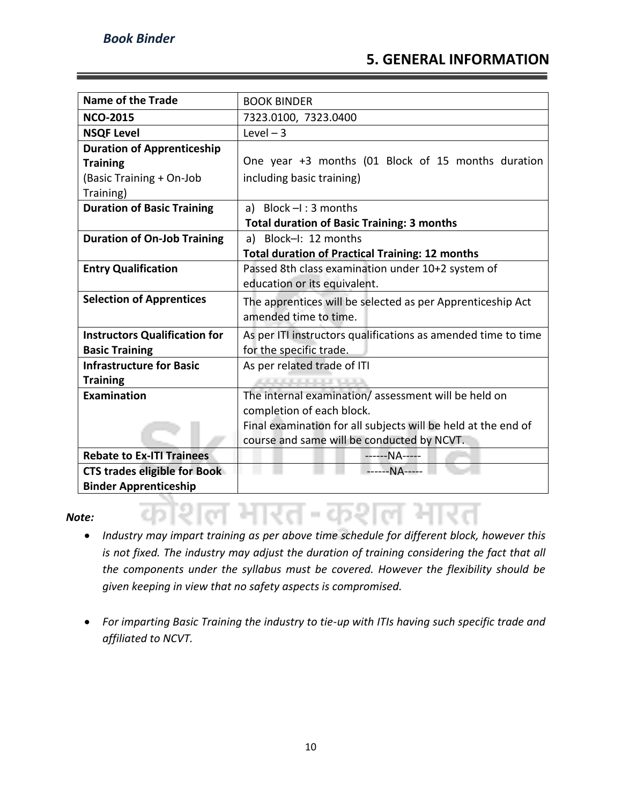#### **5. GENERAL INFORMATION**

| <b>Name of the Trade</b>             | <b>BOOK BINDER</b>                                            |
|--------------------------------------|---------------------------------------------------------------|
| <b>NCO-2015</b>                      | 7323.0100, 7323.0400                                          |
| <b>NSQF Level</b>                    | Level $-3$                                                    |
| <b>Duration of Apprenticeship</b>    |                                                               |
| <b>Training</b>                      | One year +3 months (01 Block of 15 months duration            |
| (Basic Training + On-Job             | including basic training)                                     |
| Training)                            |                                                               |
| <b>Duration of Basic Training</b>    | a) Block $-I$ : 3 months                                      |
|                                      | <b>Total duration of Basic Training: 3 months</b>             |
| <b>Duration of On-Job Training</b>   | a) Block-I: 12 months                                         |
|                                      | <b>Total duration of Practical Training: 12 months</b>        |
| <b>Entry Qualification</b>           | Passed 8th class examination under 10+2 system of             |
|                                      | education or its equivalent.                                  |
| <b>Selection of Apprentices</b>      | The apprentices will be selected as per Apprenticeship Act    |
|                                      | amended time to time.                                         |
| <b>Instructors Qualification for</b> | As per ITI instructors qualifications as amended time to time |
| <b>Basic Training</b>                | for the specific trade.                                       |
| <b>Infrastructure for Basic</b>      | As per related trade of ITI                                   |
| <b>Training</b>                      | <b>ALCOHOL: USA</b>                                           |
| <b>Examination</b>                   | The internal examination/assessment will be held on           |
|                                      | completion of each block.                                     |
|                                      | Final examination for all subjects will be held at the end of |
|                                      | course and same will be conducted by NCVT.                    |
| <b>Rebate to Ex-ITI Trainees</b>     | ------NA-----                                                 |
| <b>CTS trades eligible for Book</b>  | ------NA-----                                                 |
| <b>Binder Apprenticeship</b>         |                                                               |

#### *Note:*

• *Industry may impart training as per above time schedule for different block, however this is not fixed. The industry may adjust the duration of training considering the fact that all the components under the syllabus must be covered. However the flexibility should be given keeping in view that no safety aspects is compromised.*

 $\sim$ 

• *For imparting Basic Training the industry to tie-up with ITIs having such specific trade and affiliated to NCVT.*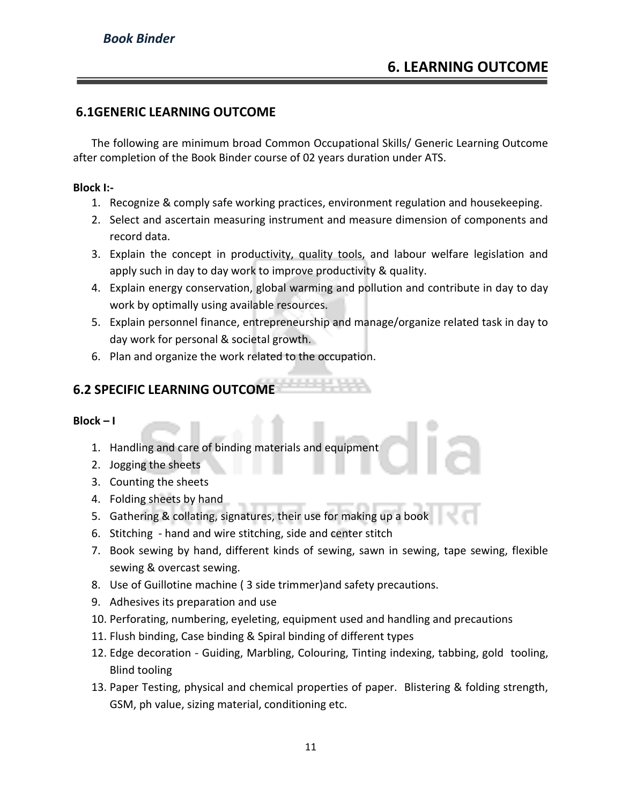#### **6.1GENERIC LEARNING OUTCOME**

The following are minimum broad Common Occupational Skills/ Generic Learning Outcome after completion of the Book Binder course of 02 years duration under ATS.

#### **Block I:-**

- 1. Recognize & comply safe working practices, environment regulation and housekeeping.
- 2. Select and ascertain measuring instrument and measure dimension of components and record data.
- 3. Explain the concept in productivity, quality tools, and labour welfare legislation and apply such in day to day work to improve productivity & quality.
- 4. Explain energy conservation, global warming and pollution and contribute in day to day work by optimally using available resources.
- 5. Explain personnel finance, entrepreneurship and manage/organize related task in day to day work for personal & societal growth.
- 6. Plan and organize the work related to the occupation.

#### **6.2 SPECIFIC LEARNING OUTCOME**

**Block – I** 

- 1. Handling and care of binding materials and equipment
- 2. Jogging the sheets
- 3. Counting the sheets
- 4. Folding sheets by hand
- 5. Gathering & collating, signatures, their use for making up a book
- 6. Stitching hand and wire stitching, side and center stitch
- 7. Book sewing by hand, different kinds of sewing, sawn in sewing, tape sewing, flexible sewing & overcast sewing.
- 8. Use of Guillotine machine ( 3 side trimmer)and safety precautions.
- 9. Adhesives its preparation and use
- 10. Perforating, numbering, eyeleting, equipment used and handling and precautions
- 11. Flush binding, Case binding & Spiral binding of different types
- 12. Edge decoration Guiding, Marbling, Colouring, Tinting indexing, tabbing, gold tooling, Blind tooling
- 13. Paper Testing, physical and chemical properties of paper. Blistering & folding strength, GSM, ph value, sizing material, conditioning etc.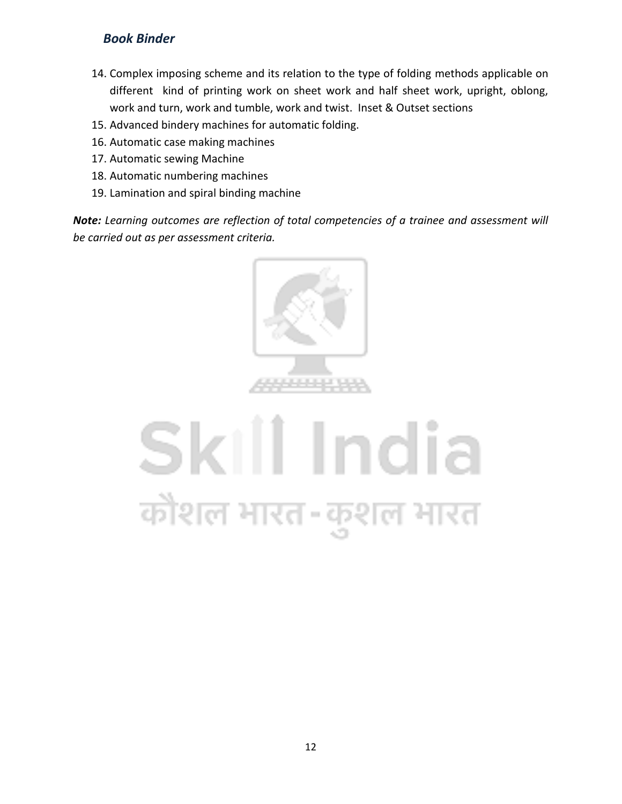- 14. Complex imposing scheme and its relation to the type of folding methods applicable on different kind of printing work on sheet work and half sheet work, upright, oblong, work and turn, work and tumble, work and twist. Inset & Outset sections
- 15. Advanced bindery machines for automatic folding.
- 16. Automatic case making machines
- 17. Automatic sewing Machine
- 18. Automatic numbering machines
- 19. Lamination and spiral binding machine

*Note: Learning outcomes are reflection of total competencies of a trainee and assessment will be carried out as per assessment criteria.*



## Skill India कोशल भारत-कुशल भारत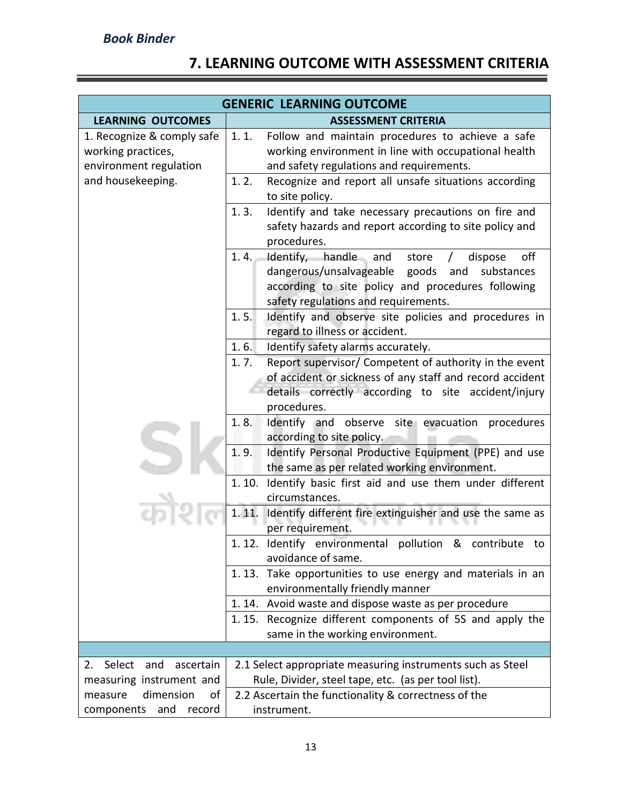### **7. LEARNING OUTCOME WITH ASSESSMENT CRITERIA**

| <b>GENERIC LEARNING OUTCOME</b>                                            |                                                                                                                                                                                                                        |  |  |
|----------------------------------------------------------------------------|------------------------------------------------------------------------------------------------------------------------------------------------------------------------------------------------------------------------|--|--|
| <b>LEARNING OUTCOMES</b>                                                   | <b>ASSESSMENT CRITERIA</b>                                                                                                                                                                                             |  |  |
| 1. Recognize & comply safe<br>working practices,<br>environment regulation | 1.1.<br>Follow and maintain procedures to achieve a safe<br>working environment in line with occupational health<br>and safety regulations and requirements.                                                           |  |  |
| and housekeeping.                                                          | Recognize and report all unsafe situations according<br>1.2.<br>to site policy.                                                                                                                                        |  |  |
|                                                                            | Identify and take necessary precautions on fire and<br>1.3.<br>safety hazards and report according to site policy and<br>procedures.                                                                                   |  |  |
|                                                                            | Identify, handle and<br>off<br>1.4.<br>store<br>dispose<br>$\prime$<br>dangerous/unsalvageable goods<br>and<br>substances<br>according to site policy and procedures following<br>safety regulations and requirements. |  |  |
|                                                                            | Identify and observe site policies and procedures in<br>1.5.<br>regard to illness or accident.                                                                                                                         |  |  |
|                                                                            | 1.6.<br>Identify safety alarms accurately.                                                                                                                                                                             |  |  |
|                                                                            | Report supervisor/ Competent of authority in the event<br>1.7.                                                                                                                                                         |  |  |
|                                                                            | of accident or sickness of any staff and record accident                                                                                                                                                               |  |  |
|                                                                            | details correctly according to site accident/injury                                                                                                                                                                    |  |  |
|                                                                            | procedures.                                                                                                                                                                                                            |  |  |
|                                                                            | Identify and observe site evacuation procedures<br>1.8.<br>according to site policy.                                                                                                                                   |  |  |
|                                                                            | Identify Personal Productive Equipment (PPE) and use<br>1.9.                                                                                                                                                           |  |  |
|                                                                            | the same as per related working environment.                                                                                                                                                                           |  |  |
|                                                                            | Identify basic first aid and use them under different<br>1.10.                                                                                                                                                         |  |  |
|                                                                            | circumstances.                                                                                                                                                                                                         |  |  |
|                                                                            | 1.11.<br>Identify different fire extinguisher and use the same as<br>per requirement.                                                                                                                                  |  |  |
|                                                                            | 1.12. Identify environmental<br>pollution & contribute<br>to<br>avoidance of same.                                                                                                                                     |  |  |
|                                                                            | Take opportunities to use energy and materials in an<br>1.13.                                                                                                                                                          |  |  |
|                                                                            | environmentally friendly manner                                                                                                                                                                                        |  |  |
|                                                                            | 1.14. Avoid waste and dispose waste as per procedure                                                                                                                                                                   |  |  |
|                                                                            | Recognize different components of 5S and apply the<br>1.15.<br>same in the working environment.                                                                                                                        |  |  |
|                                                                            |                                                                                                                                                                                                                        |  |  |
| Select<br>and<br>ascertain<br>2.                                           | 2.1 Select appropriate measuring instruments such as Steel                                                                                                                                                             |  |  |
| measuring instrument and                                                   | Rule, Divider, steel tape, etc. (as per tool list).                                                                                                                                                                    |  |  |
| dimension<br>measure<br>οf                                                 | 2.2 Ascertain the functionality & correctness of the                                                                                                                                                                   |  |  |
| and<br>components<br>record                                                | instrument.                                                                                                                                                                                                            |  |  |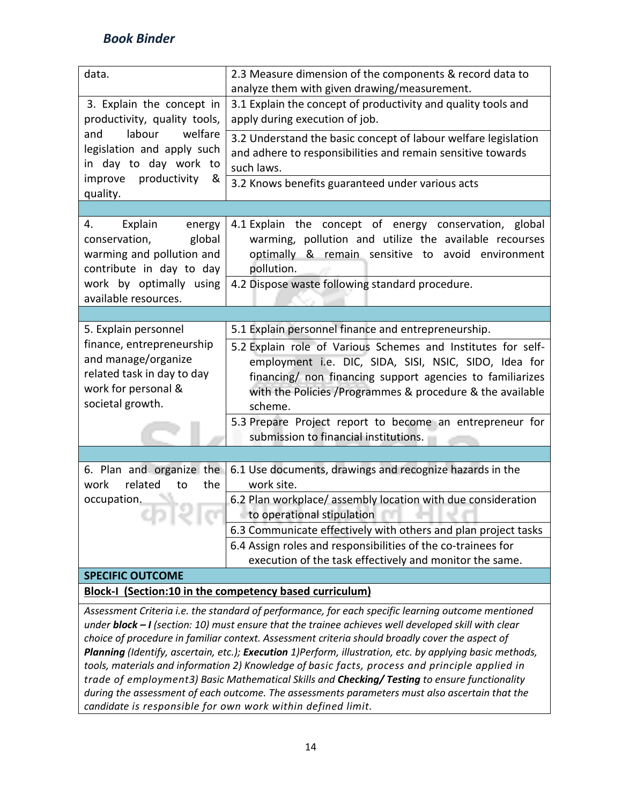| data.                                                                                               | 2.3 Measure dimension of the components & record data to                                                 |  |  |
|-----------------------------------------------------------------------------------------------------|----------------------------------------------------------------------------------------------------------|--|--|
|                                                                                                     | analyze them with given drawing/measurement.                                                             |  |  |
| 3. Explain the concept in                                                                           | 3.1 Explain the concept of productivity and quality tools and                                            |  |  |
| productivity, quality tools,                                                                        | apply during execution of job.                                                                           |  |  |
| labour<br>welfare<br>and                                                                            | 3.2 Understand the basic concept of labour welfare legislation                                           |  |  |
| legislation and apply such                                                                          | and adhere to responsibilities and remain sensitive towards                                              |  |  |
| in day to day work to                                                                               | such laws.                                                                                               |  |  |
| productivity<br>improve<br>&                                                                        | 3.2 Knows benefits guaranteed under various acts                                                         |  |  |
| quality.                                                                                            |                                                                                                          |  |  |
|                                                                                                     |                                                                                                          |  |  |
| Explain<br>4.<br>energy                                                                             | 4.1 Explain the concept of energy conservation, global                                                   |  |  |
| conservation,<br>global                                                                             | warming, pollution and utilize the available recourses                                                   |  |  |
| warming and pollution and<br>contribute in day to day                                               | optimally<br>& remain sensitive to avoid environment                                                     |  |  |
| work by optimally using                                                                             | pollution.<br>4.2 Dispose waste following standard procedure.                                            |  |  |
| available resources.                                                                                |                                                                                                          |  |  |
|                                                                                                     |                                                                                                          |  |  |
| 5. Explain personnel                                                                                | 5.1 Explain personnel finance and entrepreneurship.                                                      |  |  |
| finance, entrepreneurship                                                                           | 5.2 Explain role of Various Schemes and Institutes for self-                                             |  |  |
| and manage/organize                                                                                 | employment i.e. DIC, SIDA, SISI, NSIC, SIDO, Idea for                                                    |  |  |
| related task in day to day                                                                          | financing/ non financing support agencies to familiarizes                                                |  |  |
| work for personal &                                                                                 | with the Policies /Programmes & procedure & the available                                                |  |  |
| societal growth.                                                                                    | scheme.                                                                                                  |  |  |
|                                                                                                     | 5.3 Prepare Project report to become an entrepreneur for                                                 |  |  |
|                                                                                                     | submission to financial institutions.                                                                    |  |  |
|                                                                                                     |                                                                                                          |  |  |
| 6. Plan and organize the                                                                            | 6.1 Use documents, drawings and recognize hazards in the                                                 |  |  |
| related<br>to<br>the<br>work                                                                        | work site.                                                                                               |  |  |
| occupation.                                                                                         | 6.2 Plan workplace/assembly location with due consideration                                              |  |  |
|                                                                                                     | to operational stipulation                                                                               |  |  |
| The C                                                                                               | 6.3 Communicate effectively with others and plan project tasks                                           |  |  |
|                                                                                                     | 6.4 Assign roles and responsibilities of the co-trainees for                                             |  |  |
|                                                                                                     | execution of the task effectively and monitor the same.                                                  |  |  |
| <b>SPECIFIC OUTCOME</b>                                                                             |                                                                                                          |  |  |
| <b>Block-I (Section:10 in the competency based curriculum)</b>                                      |                                                                                                          |  |  |
| Assessment Criteria i.e. the standard of performance, for each specific learning outcome mentioned  |                                                                                                          |  |  |
| under block - I (section: 10) must ensure that the trainee achieves well developed skill with clear |                                                                                                          |  |  |
| choice of procedure in familiar context. Assessment criteria should broadly cover the aspect of     |                                                                                                          |  |  |
|                                                                                                     | Planning (Identify, ascertain, etc.); Execution 1)Perform, illustration, etc. by applying basic methods, |  |  |
|                                                                                                     | tools, materials and information 2) Knowledge of basic facts, process and principle applied in           |  |  |
|                                                                                                     | trade of employment3) Basic Mathematical Skills and Checking/ Testing to ensure functionality            |  |  |
| during the assessment of each outcome. The assessments parameters must also ascertain that the      |                                                                                                          |  |  |

*candidate is responsible for own work within defined limit.*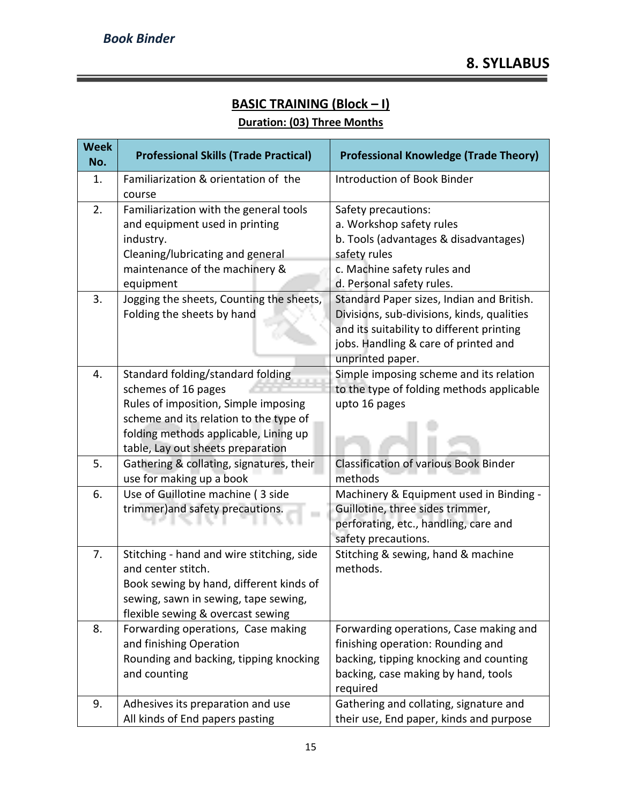۳

#### **BASIC TRAINING (Block – I) Duration: (03) Three Months**

| <b>Week</b><br>No. | <b>Professional Skills (Trade Practical)</b>                                                                                                                                                                             | <b>Professional Knowledge (Trade Theory)</b>                                                                                                                                                                      |
|--------------------|--------------------------------------------------------------------------------------------------------------------------------------------------------------------------------------------------------------------------|-------------------------------------------------------------------------------------------------------------------------------------------------------------------------------------------------------------------|
| 1.                 | Familiarization & orientation of the<br>course                                                                                                                                                                           | <b>Introduction of Book Binder</b>                                                                                                                                                                                |
| 2.<br>3.           | Familiarization with the general tools<br>and equipment used in printing<br>industry.<br>Cleaning/lubricating and general<br>maintenance of the machinery &<br>equipment<br>Jogging the sheets, Counting the sheets,     | Safety precautions:<br>a. Workshop safety rules<br>b. Tools (advantages & disadvantages)<br>safety rules<br>c. Machine safety rules and<br>d. Personal safety rules.<br>Standard Paper sizes, Indian and British. |
|                    | Folding the sheets by hand                                                                                                                                                                                               | Divisions, sub-divisions, kinds, qualities<br>and its suitability to different printing<br>jobs. Handling & care of printed and<br>unprinted paper.                                                               |
| 4.                 | Standard folding/standard folding<br>schemes of 16 pages<br>Rules of imposition, Simple imposing<br>scheme and its relation to the type of<br>folding methods applicable, Lining up<br>table, Lay out sheets preparation | Simple imposing scheme and its relation<br>to the type of folding methods applicable<br>upto 16 pages                                                                                                             |
| 5.                 | Gathering & collating, signatures, their<br>use for making up a book                                                                                                                                                     | <b>Classification of various Book Binder</b><br>methods                                                                                                                                                           |
| 6.                 | Use of Guillotine machine (3 side<br>trimmer) and safety precautions.                                                                                                                                                    | Machinery & Equipment used in Binding -<br>Guillotine, three sides trimmer,<br>perforating, etc., handling, care and<br>safety precautions.                                                                       |
| 7.                 | Stitching - hand and wire stitching, side<br>and center stitch.<br>Book sewing by hand, different kinds of<br>sewing, sawn in sewing, tape sewing,<br>flexible sewing & overcast sewing                                  | Stitching & sewing, hand & machine<br>methods.                                                                                                                                                                    |
| 8.                 | Forwarding operations, Case making<br>and finishing Operation<br>Rounding and backing, tipping knocking<br>and counting                                                                                                  | Forwarding operations, Case making and<br>finishing operation: Rounding and<br>backing, tipping knocking and counting<br>backing, case making by hand, tools<br>required                                          |
| 9.                 | Adhesives its preparation and use<br>All kinds of End papers pasting                                                                                                                                                     | Gathering and collating, signature and<br>their use, End paper, kinds and purpose                                                                                                                                 |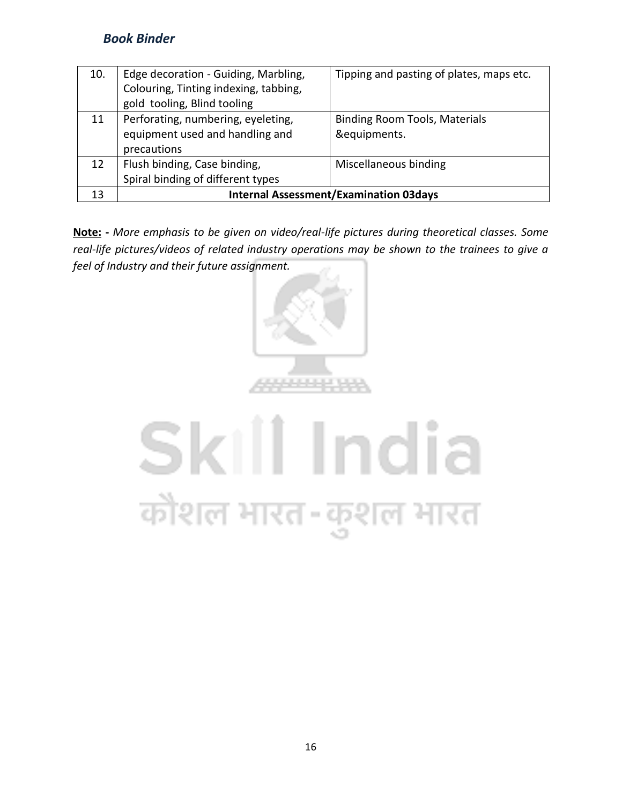| 10. | Edge decoration - Guiding, Marbling,          | Tipping and pasting of plates, maps etc. |  |
|-----|-----------------------------------------------|------------------------------------------|--|
|     | Colouring, Tinting indexing, tabbing,         |                                          |  |
|     | gold tooling, Blind tooling                   |                                          |  |
| 11  | Perforating, numbering, eyeleting,            | <b>Binding Room Tools, Materials</b>     |  |
|     | equipment used and handling and               | &equipments.                             |  |
|     | precautions                                   |                                          |  |
| 12  | Flush binding, Case binding,                  | Miscellaneous binding                    |  |
|     | Spiral binding of different types             |                                          |  |
| 13  | <b>Internal Assessment/Examination 03days</b> |                                          |  |

**Note: -** *More emphasis to be given on video/real-life pictures during theoretical classes. Some real-life pictures/videos of related industry operations may be shown to the trainees to give a feel of Industry and their future assignment.*



## Skill India कोशल भारत-कुशल भारत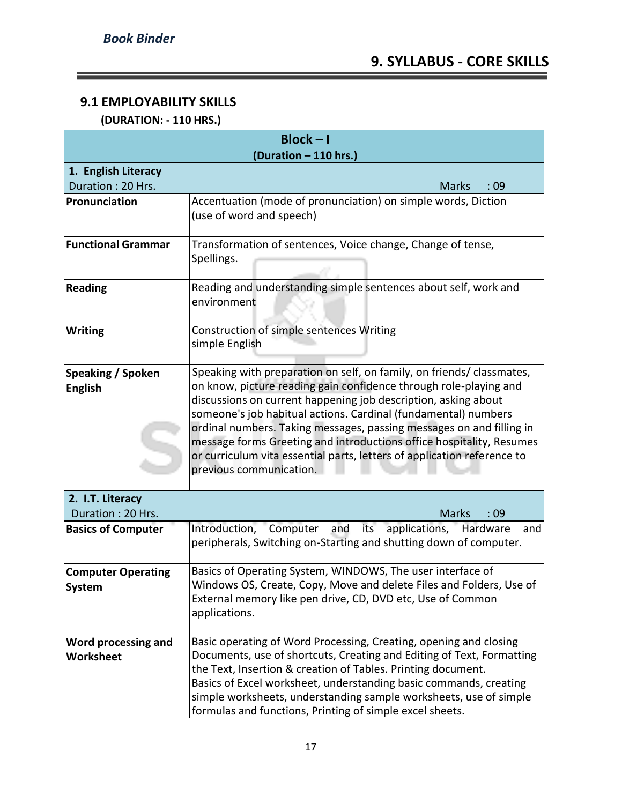#### **9.1 EMPLOYABILITY SKILLS**

 **(DURATION: - 110 HRS.)**

| $Block - I$               |                                                                                |  |  |  |  |  |  |  |  |  |
|---------------------------|--------------------------------------------------------------------------------|--|--|--|--|--|--|--|--|--|
| (Duration - 110 hrs.)     |                                                                                |  |  |  |  |  |  |  |  |  |
| 1. English Literacy       |                                                                                |  |  |  |  |  |  |  |  |  |
| Duration: 20 Hrs.         | :09<br><b>Marks</b>                                                            |  |  |  |  |  |  |  |  |  |
| Pronunciation             | Accentuation (mode of pronunciation) on simple words, Diction                  |  |  |  |  |  |  |  |  |  |
|                           | (use of word and speech)                                                       |  |  |  |  |  |  |  |  |  |
| <b>Functional Grammar</b> | Transformation of sentences, Voice change, Change of tense,                    |  |  |  |  |  |  |  |  |  |
|                           | Spellings.                                                                     |  |  |  |  |  |  |  |  |  |
|                           |                                                                                |  |  |  |  |  |  |  |  |  |
| <b>Reading</b>            | Reading and understanding simple sentences about self, work and<br>environment |  |  |  |  |  |  |  |  |  |
|                           |                                                                                |  |  |  |  |  |  |  |  |  |
| <b>Writing</b>            | Construction of simple sentences Writing<br>simple English                     |  |  |  |  |  |  |  |  |  |
|                           |                                                                                |  |  |  |  |  |  |  |  |  |
| Speaking / Spoken         | Speaking with preparation on self, on family, on friends/ classmates,          |  |  |  |  |  |  |  |  |  |
| <b>English</b>            | on know, picture reading gain confidence through role-playing and              |  |  |  |  |  |  |  |  |  |
|                           | discussions on current happening job description, asking about                 |  |  |  |  |  |  |  |  |  |
|                           | someone's job habitual actions. Cardinal (fundamental) numbers                 |  |  |  |  |  |  |  |  |  |
|                           | ordinal numbers. Taking messages, passing messages on and filling in           |  |  |  |  |  |  |  |  |  |
|                           | message forms Greeting and introductions office hospitality, Resumes           |  |  |  |  |  |  |  |  |  |
|                           | or curriculum vita essential parts, letters of application reference to        |  |  |  |  |  |  |  |  |  |
|                           | previous communication.                                                        |  |  |  |  |  |  |  |  |  |
|                           |                                                                                |  |  |  |  |  |  |  |  |  |
| 2. I.T. Literacy          |                                                                                |  |  |  |  |  |  |  |  |  |
| Duration: 20 Hrs.         | <b>Marks</b><br>:09                                                            |  |  |  |  |  |  |  |  |  |
| <b>Basics of Computer</b> | Introduction, Computer and<br>its applications, Hardware<br>and                |  |  |  |  |  |  |  |  |  |
|                           | peripherals, Switching on-Starting and shutting down of computer.              |  |  |  |  |  |  |  |  |  |
| <b>Computer Operating</b> | Basics of Operating System, WINDOWS, The user interface of                     |  |  |  |  |  |  |  |  |  |
|                           | Windows OS, Create, Copy, Move and delete Files and Folders, Use of            |  |  |  |  |  |  |  |  |  |
| System                    | External memory like pen drive, CD, DVD etc, Use of Common                     |  |  |  |  |  |  |  |  |  |
|                           | applications.                                                                  |  |  |  |  |  |  |  |  |  |
|                           |                                                                                |  |  |  |  |  |  |  |  |  |
| Word processing and       | Basic operating of Word Processing, Creating, opening and closing              |  |  |  |  |  |  |  |  |  |
| Worksheet                 | Documents, use of shortcuts, Creating and Editing of Text, Formatting          |  |  |  |  |  |  |  |  |  |
|                           | the Text, Insertion & creation of Tables. Printing document.                   |  |  |  |  |  |  |  |  |  |
|                           | Basics of Excel worksheet, understanding basic commands, creating              |  |  |  |  |  |  |  |  |  |
|                           | simple worksheets, understanding sample worksheets, use of simple              |  |  |  |  |  |  |  |  |  |
|                           | formulas and functions, Printing of simple excel sheets.                       |  |  |  |  |  |  |  |  |  |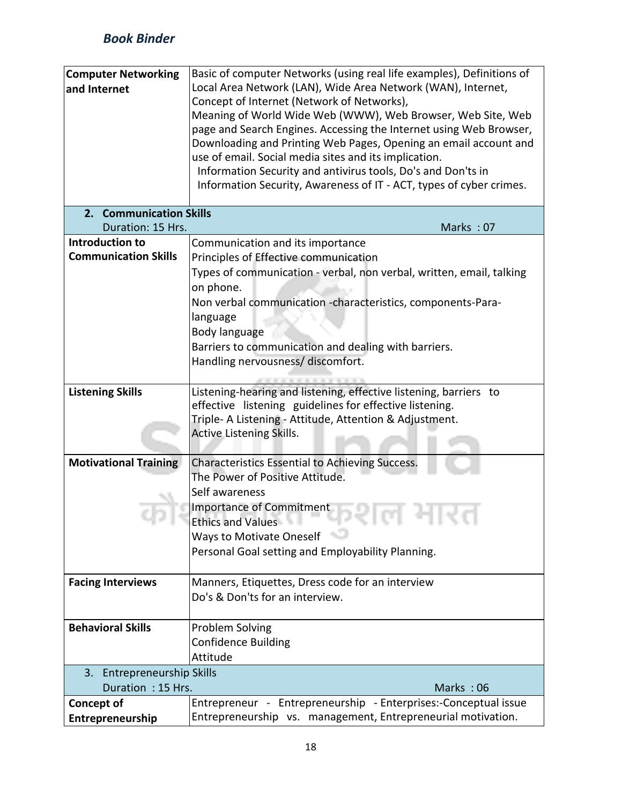| <b>Computer Networking</b><br>and Internet | Basic of computer Networks (using real life examples), Definitions of<br>Local Area Network (LAN), Wide Area Network (WAN), Internet,<br>Concept of Internet (Network of Networks),<br>Meaning of World Wide Web (WWW), Web Browser, Web Site, Web<br>page and Search Engines. Accessing the Internet using Web Browser,<br>Downloading and Printing Web Pages, Opening an email account and<br>use of email. Social media sites and its implication.<br>Information Security and antivirus tools, Do's and Don'ts in<br>Information Security, Awareness of IT - ACT, types of cyber crimes. |  |  |  |  |  |  |
|--------------------------------------------|----------------------------------------------------------------------------------------------------------------------------------------------------------------------------------------------------------------------------------------------------------------------------------------------------------------------------------------------------------------------------------------------------------------------------------------------------------------------------------------------------------------------------------------------------------------------------------------------|--|--|--|--|--|--|
| 2. Communication Skills                    |                                                                                                                                                                                                                                                                                                                                                                                                                                                                                                                                                                                              |  |  |  |  |  |  |
| Duration: 15 Hrs.                          | Marks: 07                                                                                                                                                                                                                                                                                                                                                                                                                                                                                                                                                                                    |  |  |  |  |  |  |
| Introduction to                            | Communication and its importance                                                                                                                                                                                                                                                                                                                                                                                                                                                                                                                                                             |  |  |  |  |  |  |
| <b>Communication Skills</b>                | Principles of Effective communication                                                                                                                                                                                                                                                                                                                                                                                                                                                                                                                                                        |  |  |  |  |  |  |
|                                            | Types of communication - verbal, non verbal, written, email, talking                                                                                                                                                                                                                                                                                                                                                                                                                                                                                                                         |  |  |  |  |  |  |
|                                            | on phone.                                                                                                                                                                                                                                                                                                                                                                                                                                                                                                                                                                                    |  |  |  |  |  |  |
|                                            | Non verbal communication -characteristics, components-Para-                                                                                                                                                                                                                                                                                                                                                                                                                                                                                                                                  |  |  |  |  |  |  |
|                                            | language                                                                                                                                                                                                                                                                                                                                                                                                                                                                                                                                                                                     |  |  |  |  |  |  |
|                                            | Body language                                                                                                                                                                                                                                                                                                                                                                                                                                                                                                                                                                                |  |  |  |  |  |  |
|                                            | Barriers to communication and dealing with barriers.                                                                                                                                                                                                                                                                                                                                                                                                                                                                                                                                         |  |  |  |  |  |  |
|                                            |                                                                                                                                                                                                                                                                                                                                                                                                                                                                                                                                                                                              |  |  |  |  |  |  |
|                                            | Handling nervousness/ discomfort.                                                                                                                                                                                                                                                                                                                                                                                                                                                                                                                                                            |  |  |  |  |  |  |
|                                            |                                                                                                                                                                                                                                                                                                                                                                                                                                                                                                                                                                                              |  |  |  |  |  |  |
| <b>Listening Skills</b>                    | Listening-hearing and listening, effective listening, barriers to                                                                                                                                                                                                                                                                                                                                                                                                                                                                                                                            |  |  |  |  |  |  |
|                                            | effective listening guidelines for effective listening.                                                                                                                                                                                                                                                                                                                                                                                                                                                                                                                                      |  |  |  |  |  |  |
|                                            | Triple- A Listening - Attitude, Attention & Adjustment.<br><b>Active Listening Skills.</b>                                                                                                                                                                                                                                                                                                                                                                                                                                                                                                   |  |  |  |  |  |  |
|                                            |                                                                                                                                                                                                                                                                                                                                                                                                                                                                                                                                                                                              |  |  |  |  |  |  |
| <b>Motivational Training</b>               | <b>Characteristics Essential to Achieving Success.</b>                                                                                                                                                                                                                                                                                                                                                                                                                                                                                                                                       |  |  |  |  |  |  |
|                                            | The Power of Positive Attitude.                                                                                                                                                                                                                                                                                                                                                                                                                                                                                                                                                              |  |  |  |  |  |  |
|                                            | Self awareness                                                                                                                                                                                                                                                                                                                                                                                                                                                                                                                                                                               |  |  |  |  |  |  |
|                                            | Importance of Commitment                                                                                                                                                                                                                                                                                                                                                                                                                                                                                                                                                                     |  |  |  |  |  |  |
|                                            | <b>Ethics and Values</b><br>יצור ויי אי                                                                                                                                                                                                                                                                                                                                                                                                                                                                                                                                                      |  |  |  |  |  |  |
|                                            | Ways to Motivate Oneself                                                                                                                                                                                                                                                                                                                                                                                                                                                                                                                                                                     |  |  |  |  |  |  |
|                                            | Personal Goal setting and Employability Planning.                                                                                                                                                                                                                                                                                                                                                                                                                                                                                                                                            |  |  |  |  |  |  |
|                                            |                                                                                                                                                                                                                                                                                                                                                                                                                                                                                                                                                                                              |  |  |  |  |  |  |
| <b>Facing Interviews</b>                   | Manners, Etiquettes, Dress code for an interview                                                                                                                                                                                                                                                                                                                                                                                                                                                                                                                                             |  |  |  |  |  |  |
|                                            | Do's & Don'ts for an interview.                                                                                                                                                                                                                                                                                                                                                                                                                                                                                                                                                              |  |  |  |  |  |  |
|                                            |                                                                                                                                                                                                                                                                                                                                                                                                                                                                                                                                                                                              |  |  |  |  |  |  |
| <b>Behavioral Skills</b>                   | Problem Solving                                                                                                                                                                                                                                                                                                                                                                                                                                                                                                                                                                              |  |  |  |  |  |  |
|                                            | <b>Confidence Building</b>                                                                                                                                                                                                                                                                                                                                                                                                                                                                                                                                                                   |  |  |  |  |  |  |
|                                            | Attitude                                                                                                                                                                                                                                                                                                                                                                                                                                                                                                                                                                                     |  |  |  |  |  |  |
| 3. Entrepreneurship Skills                 |                                                                                                                                                                                                                                                                                                                                                                                                                                                                                                                                                                                              |  |  |  |  |  |  |
| Duration: 15 Hrs.                          | Marks: 06                                                                                                                                                                                                                                                                                                                                                                                                                                                                                                                                                                                    |  |  |  |  |  |  |
| <b>Concept of</b>                          | Entrepreneur - Entrepreneurship - Enterprises:-Conceptual issue                                                                                                                                                                                                                                                                                                                                                                                                                                                                                                                              |  |  |  |  |  |  |
| Entrepreneurship                           | Entrepreneurship vs. management, Entrepreneurial motivation.                                                                                                                                                                                                                                                                                                                                                                                                                                                                                                                                 |  |  |  |  |  |  |
|                                            |                                                                                                                                                                                                                                                                                                                                                                                                                                                                                                                                                                                              |  |  |  |  |  |  |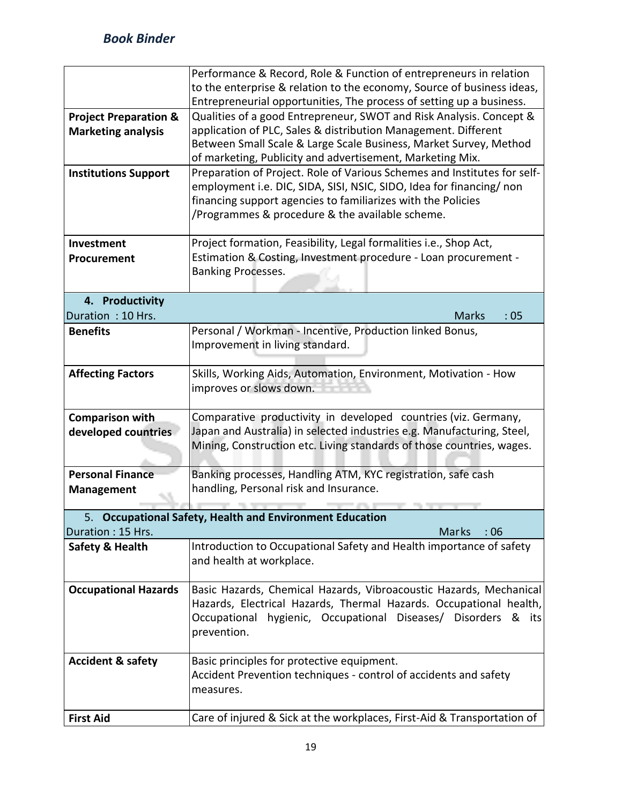|                                  | Performance & Record, Role & Function of entrepreneurs in relation                                                                              |  |  |  |  |  |  |  |  |  |
|----------------------------------|-------------------------------------------------------------------------------------------------------------------------------------------------|--|--|--|--|--|--|--|--|--|
|                                  | to the enterprise & relation to the economy, Source of business ideas,<br>Entrepreneurial opportunities, The process of setting up a business.  |  |  |  |  |  |  |  |  |  |
| <b>Project Preparation &amp;</b> | Qualities of a good Entrepreneur, SWOT and Risk Analysis. Concept &                                                                             |  |  |  |  |  |  |  |  |  |
| <b>Marketing analysis</b>        | application of PLC, Sales & distribution Management. Different                                                                                  |  |  |  |  |  |  |  |  |  |
|                                  | Between Small Scale & Large Scale Business, Market Survey, Method                                                                               |  |  |  |  |  |  |  |  |  |
|                                  | of marketing, Publicity and advertisement, Marketing Mix.                                                                                       |  |  |  |  |  |  |  |  |  |
| <b>Institutions Support</b>      | Preparation of Project. Role of Various Schemes and Institutes for self-                                                                        |  |  |  |  |  |  |  |  |  |
|                                  | employment i.e. DIC, SIDA, SISI, NSIC, SIDO, Idea for financing/ non                                                                            |  |  |  |  |  |  |  |  |  |
|                                  | financing support agencies to familiarizes with the Policies                                                                                    |  |  |  |  |  |  |  |  |  |
|                                  | /Programmes & procedure & the available scheme.                                                                                                 |  |  |  |  |  |  |  |  |  |
| Investment                       | Project formation, Feasibility, Legal formalities i.e., Shop Act,                                                                               |  |  |  |  |  |  |  |  |  |
| Procurement                      | Estimation & Costing, Investment procedure - Loan procurement -                                                                                 |  |  |  |  |  |  |  |  |  |
|                                  | <b>Banking Processes.</b>                                                                                                                       |  |  |  |  |  |  |  |  |  |
| 4. Productivity                  |                                                                                                                                                 |  |  |  |  |  |  |  |  |  |
| Duration: 10 Hrs.                | <b>Marks</b><br>:05                                                                                                                             |  |  |  |  |  |  |  |  |  |
| <b>Benefits</b>                  | Personal / Workman - Incentive, Production linked Bonus,                                                                                        |  |  |  |  |  |  |  |  |  |
|                                  | Improvement in living standard.                                                                                                                 |  |  |  |  |  |  |  |  |  |
|                                  |                                                                                                                                                 |  |  |  |  |  |  |  |  |  |
| <b>Affecting Factors</b>         | Skills, Working Aids, Automation, Environment, Motivation - How                                                                                 |  |  |  |  |  |  |  |  |  |
|                                  | improves or slows down.                                                                                                                         |  |  |  |  |  |  |  |  |  |
|                                  |                                                                                                                                                 |  |  |  |  |  |  |  |  |  |
| <b>Comparison with</b>           | Comparative productivity in developed countries (viz. Germany,                                                                                  |  |  |  |  |  |  |  |  |  |
| developed countries              | Japan and Australia) in selected industries e.g. Manufacturing, Steel,<br>Mining, Construction etc. Living standards of those countries, wages. |  |  |  |  |  |  |  |  |  |
|                                  |                                                                                                                                                 |  |  |  |  |  |  |  |  |  |
| <b>Personal Finance</b>          | Banking processes, Handling ATM, KYC registration, safe cash                                                                                    |  |  |  |  |  |  |  |  |  |
| <b>Management</b>                | handling, Personal risk and Insurance.                                                                                                          |  |  |  |  |  |  |  |  |  |
|                                  |                                                                                                                                                 |  |  |  |  |  |  |  |  |  |
| 5.                               | <b>Occupational Safety, Health and Environment Education</b>                                                                                    |  |  |  |  |  |  |  |  |  |
| Duration: 15 Hrs.                | Marks<br>$\therefore$ 06                                                                                                                        |  |  |  |  |  |  |  |  |  |
| Safety & Health                  | Introduction to Occupational Safety and Health importance of safety                                                                             |  |  |  |  |  |  |  |  |  |
|                                  | and health at workplace.                                                                                                                        |  |  |  |  |  |  |  |  |  |
| <b>Occupational Hazards</b>      | Basic Hazards, Chemical Hazards, Vibroacoustic Hazards, Mechanical                                                                              |  |  |  |  |  |  |  |  |  |
|                                  | Hazards, Electrical Hazards, Thermal Hazards. Occupational health,                                                                              |  |  |  |  |  |  |  |  |  |
|                                  | Occupational hygienic, Occupational Diseases/ Disorders & its                                                                                   |  |  |  |  |  |  |  |  |  |
|                                  | prevention.                                                                                                                                     |  |  |  |  |  |  |  |  |  |
|                                  |                                                                                                                                                 |  |  |  |  |  |  |  |  |  |
| <b>Accident &amp; safety</b>     | Basic principles for protective equipment.                                                                                                      |  |  |  |  |  |  |  |  |  |
|                                  | Accident Prevention techniques - control of accidents and safety                                                                                |  |  |  |  |  |  |  |  |  |
|                                  | measures.                                                                                                                                       |  |  |  |  |  |  |  |  |  |
| <b>First Aid</b>                 | Care of injured & Sick at the workplaces, First-Aid & Transportation of                                                                         |  |  |  |  |  |  |  |  |  |
|                                  |                                                                                                                                                 |  |  |  |  |  |  |  |  |  |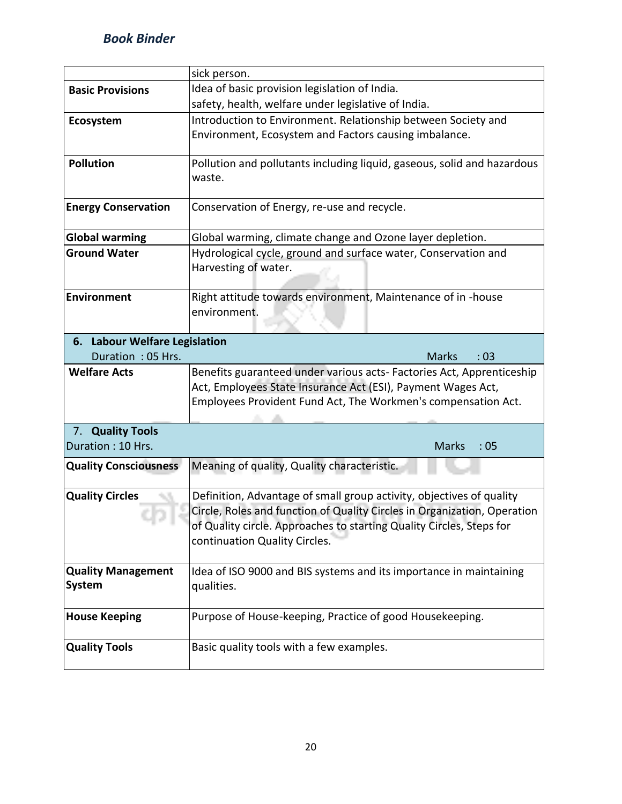|                                            | sick person.                                                             |  |  |  |  |  |  |  |  |  |
|--------------------------------------------|--------------------------------------------------------------------------|--|--|--|--|--|--|--|--|--|
| <b>Basic Provisions</b>                    | Idea of basic provision legislation of India.                            |  |  |  |  |  |  |  |  |  |
|                                            | safety, health, welfare under legislative of India.                      |  |  |  |  |  |  |  |  |  |
| Ecosystem                                  | Introduction to Environment. Relationship between Society and            |  |  |  |  |  |  |  |  |  |
|                                            | Environment, Ecosystem and Factors causing imbalance.                    |  |  |  |  |  |  |  |  |  |
|                                            |                                                                          |  |  |  |  |  |  |  |  |  |
| <b>Pollution</b>                           | Pollution and pollutants including liquid, gaseous, solid and hazardous  |  |  |  |  |  |  |  |  |  |
|                                            | waste.                                                                   |  |  |  |  |  |  |  |  |  |
|                                            |                                                                          |  |  |  |  |  |  |  |  |  |
| <b>Energy Conservation</b>                 | Conservation of Energy, re-use and recycle.                              |  |  |  |  |  |  |  |  |  |
|                                            |                                                                          |  |  |  |  |  |  |  |  |  |
| <b>Global warming</b>                      | Global warming, climate change and Ozone layer depletion.                |  |  |  |  |  |  |  |  |  |
| <b>Ground Water</b>                        | Hydrological cycle, ground and surface water, Conservation and           |  |  |  |  |  |  |  |  |  |
|                                            | Harvesting of water.                                                     |  |  |  |  |  |  |  |  |  |
|                                            |                                                                          |  |  |  |  |  |  |  |  |  |
| <b>Environment</b>                         | Right attitude towards environment, Maintenance of in -house             |  |  |  |  |  |  |  |  |  |
|                                            | environment.                                                             |  |  |  |  |  |  |  |  |  |
| 6. Labour Welfare Legislation              |                                                                          |  |  |  |  |  |  |  |  |  |
| Duration: 05 Hrs.                          | <b>Marks</b><br>:03                                                      |  |  |  |  |  |  |  |  |  |
| <b>Welfare Acts</b>                        |                                                                          |  |  |  |  |  |  |  |  |  |
|                                            |                                                                          |  |  |  |  |  |  |  |  |  |
|                                            | Benefits guaranteed under various acts- Factories Act, Apprenticeship    |  |  |  |  |  |  |  |  |  |
|                                            | Act, Employees State Insurance Act (ESI), Payment Wages Act,             |  |  |  |  |  |  |  |  |  |
|                                            | Employees Provident Fund Act, The Workmen's compensation Act.            |  |  |  |  |  |  |  |  |  |
|                                            |                                                                          |  |  |  |  |  |  |  |  |  |
| 7. Quality Tools<br>Duration: 10 Hrs.      | <b>Marks</b><br>:05                                                      |  |  |  |  |  |  |  |  |  |
|                                            |                                                                          |  |  |  |  |  |  |  |  |  |
| <b>Quality Consciousness</b>               | Meaning of quality, Quality characteristic.                              |  |  |  |  |  |  |  |  |  |
|                                            |                                                                          |  |  |  |  |  |  |  |  |  |
| <b>Quality Circles</b>                     | Definition, Advantage of small group activity, objectives of quality     |  |  |  |  |  |  |  |  |  |
|                                            | Circle, Roles and function of Quality Circles in Organization, Operation |  |  |  |  |  |  |  |  |  |
|                                            | of Quality circle. Approaches to starting Quality Circles, Steps for     |  |  |  |  |  |  |  |  |  |
|                                            | continuation Quality Circles.                                            |  |  |  |  |  |  |  |  |  |
|                                            |                                                                          |  |  |  |  |  |  |  |  |  |
| <b>Quality Management</b><br><b>System</b> | Idea of ISO 9000 and BIS systems and its importance in maintaining       |  |  |  |  |  |  |  |  |  |
|                                            | qualities.                                                               |  |  |  |  |  |  |  |  |  |
| <b>House Keeping</b>                       |                                                                          |  |  |  |  |  |  |  |  |  |
|                                            | Purpose of House-keeping, Practice of good Housekeeping.                 |  |  |  |  |  |  |  |  |  |
| <b>Quality Tools</b>                       | Basic quality tools with a few examples.                                 |  |  |  |  |  |  |  |  |  |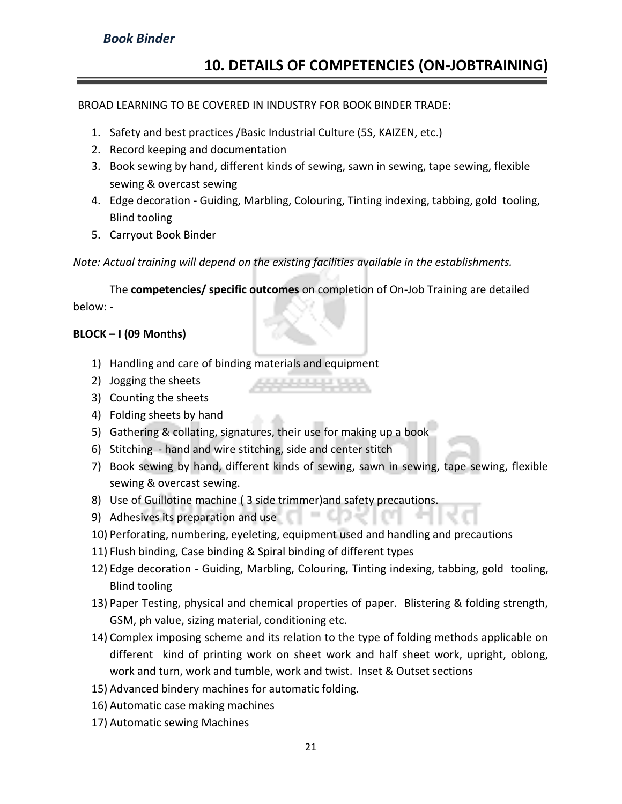#### **10. DETAILS OF COMPETENCIES (ON-JOBTRAINING)**

#### BROAD LEARNING TO BE COVERED IN INDUSTRY FOR BOOK BINDER TRADE:

- 1. Safety and best practices /Basic Industrial Culture (5S, KAIZEN, etc.)
- 2. Record keeping and documentation
- 3. Book sewing by hand, different kinds of sewing, sawn in sewing, tape sewing, flexible sewing & overcast sewing
- 4. Edge decoration Guiding, Marbling, Colouring, Tinting indexing, tabbing, gold tooling, Blind tooling
- 5. Carryout Book Binder

*Note: Actual training will depend on the existing facilities available in the establishments.*

The **competencies/ specific outcomes** on completion of On-Job Training are detailed below: -

#### **BLOCK – I (09 Months)**

- 1) Handling and care of binding materials and equipment
- 2) Jogging the sheets
- 3) Counting the sheets
- 4) Folding sheets by hand
- 5) Gathering & collating, signatures, their use for making up a book
- 6) Stitching hand and wire stitching, side and center stitch
- 7) Book sewing by hand, different kinds of sewing, sawn in sewing, tape sewing, flexible sewing & overcast sewing.
- 8) Use of Guillotine machine ( 3 side trimmer)and safety precautions.
- 9) Adhesives its preparation and use
- 10) Perforating, numbering, eyeleting, equipment used and handling and precautions
- 11) Flush binding, Case binding & Spiral binding of different types
- 12) Edge decoration Guiding, Marbling, Colouring, Tinting indexing, tabbing, gold tooling, Blind tooling
- 13) Paper Testing, physical and chemical properties of paper. Blistering & folding strength, GSM, ph value, sizing material, conditioning etc.
- 14) Complex imposing scheme and its relation to the type of folding methods applicable on different kind of printing work on sheet work and half sheet work, upright, oblong, work and turn, work and tumble, work and twist. Inset & Outset sections
- 15) Advanced bindery machines for automatic folding.
- 16) Automatic case making machines
- 17) Automatic sewing Machines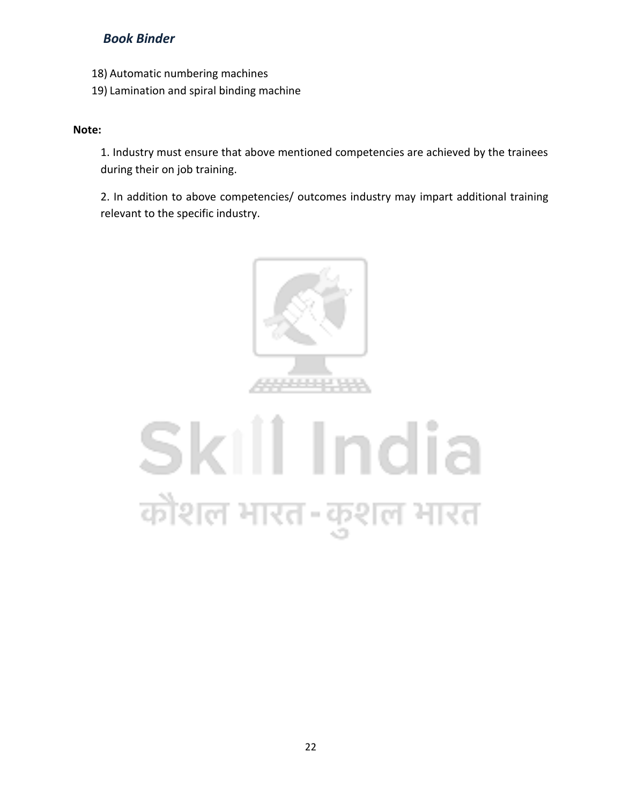- 18) Automatic numbering machines
- 19) Lamination and spiral binding machine

#### **Note:**

1. Industry must ensure that above mentioned competencies are achieved by the trainees during their on job training.

2. In addition to above competencies/ outcomes industry may impart additional training relevant to the specific industry.



## Skill India कौशल भारत-कुशल भारत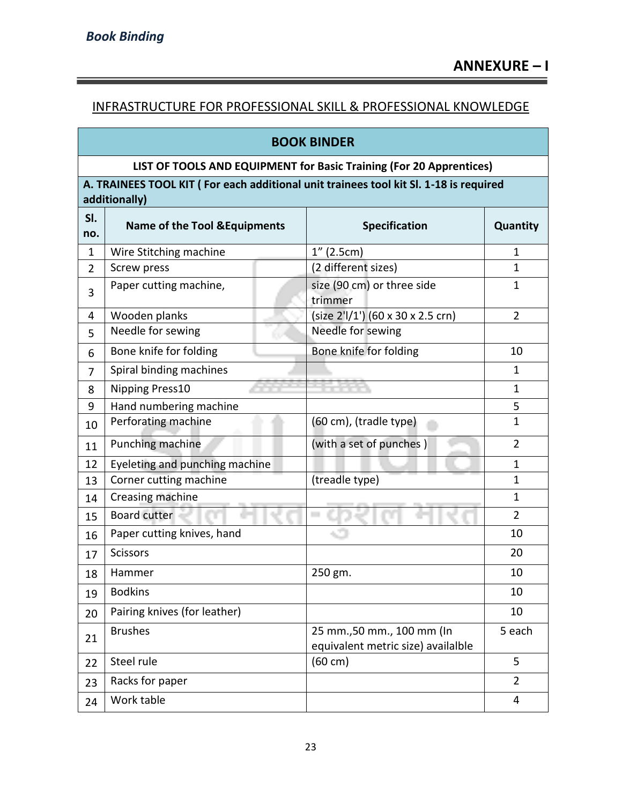÷

#### INFRASTRUCTURE FOR PROFESSIONAL SKILL & PROFESSIONAL KNOWLEDGE

#### **BOOK BINDER**

#### **LIST OF TOOLS AND EQUIPMENT for Basic Training (For 20 Apprentices)**

**A. TRAINEES TOOL KIT ( For each additional unit trainees tool kit Sl. 1-18 is required additionally)** 

| SI.<br>no.     | <b>Name of the Tool &amp; Equipments</b> | <b>Specification</b>                                             | Quantity       |  |
|----------------|------------------------------------------|------------------------------------------------------------------|----------------|--|
| 1              | Wire Stitching machine                   | $1''$ (2.5cm)                                                    | $\mathbf{1}$   |  |
| $\overline{2}$ | Screw press                              | (2 different sizes)                                              | 1              |  |
| 3              | Paper cutting machine,                   | size (90 cm) or three side<br>trimmer                            | 1              |  |
| 4              | Wooden planks                            | (size 2'l/1') (60 x 30 x 2.5 crn)                                | $\overline{2}$ |  |
| 5              | Needle for sewing                        | Needle for sewing                                                |                |  |
| 6              | Bone knife for folding                   | Bone knife for folding                                           | 10             |  |
| $\overline{7}$ | Spiral binding machines                  |                                                                  | $\mathbf{1}$   |  |
| 8              | <b>Nipping Press10</b>                   |                                                                  | $\mathbf{1}$   |  |
| 9              | Hand numbering machine                   |                                                                  | 5              |  |
| 10             | Perforating machine                      | (60 cm), (tradle type)                                           | $\mathbf{1}$   |  |
| 11             | Punching machine                         | (with a set of punches)                                          | $\overline{2}$ |  |
| 12             | Eyeleting and punching machine           |                                                                  | $\mathbf{1}$   |  |
| 13             | Corner cutting machine                   | (treadle type)                                                   | $\mathbf{1}$   |  |
| 14             | Creasing machine                         |                                                                  | $\mathbf{1}$   |  |
| 15             | Board cutter                             | i.                                                               | $\overline{2}$ |  |
| 16             | Paper cutting knives, hand               |                                                                  | 10             |  |
| 17             | <b>Scissors</b>                          |                                                                  | 20             |  |
| 18             | Hammer                                   | 250 gm.                                                          | 10             |  |
| 19             | <b>Bodkins</b>                           |                                                                  | 10             |  |
| 20             | Pairing knives (for leather)             |                                                                  | 10             |  |
| 21             | <b>Brushes</b>                           | 25 mm., 50 mm., 100 mm (In<br>equivalent metric size) availalble | 5 each         |  |
| 22             | Steel rule                               | $(60 \text{ cm})$                                                | 5              |  |
| 23             | Racks for paper                          |                                                                  | $\overline{2}$ |  |
| 24             | Work table                               |                                                                  | 4              |  |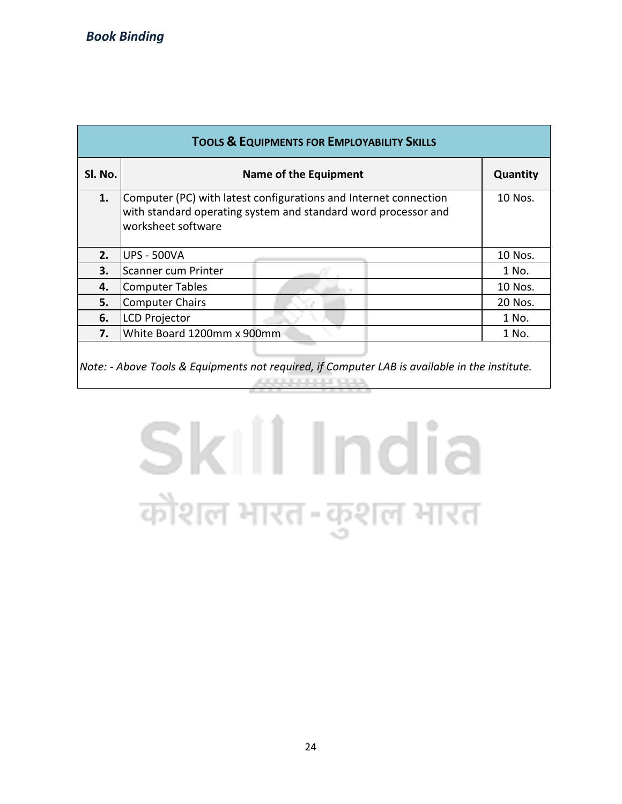| <b>TOOLS &amp; EQUIPMENTS FOR EMPLOYABILITY SKILLS</b> |                                                                                                                                                          |          |  |  |  |  |  |  |
|--------------------------------------------------------|----------------------------------------------------------------------------------------------------------------------------------------------------------|----------|--|--|--|--|--|--|
| SI. No.                                                | Name of the Equipment                                                                                                                                    | Quantity |  |  |  |  |  |  |
| 1.                                                     | Computer (PC) with latest configurations and Internet connection<br>with standard operating system and standard word processor and<br>worksheet software | 10 Nos.  |  |  |  |  |  |  |
| 2.                                                     | <b>UPS - 500VA</b>                                                                                                                                       | 10 Nos.  |  |  |  |  |  |  |
| 3.                                                     | Scanner cum Printer                                                                                                                                      | 1 No.    |  |  |  |  |  |  |
| 4.                                                     | <b>Computer Tables</b>                                                                                                                                   | 10 Nos.  |  |  |  |  |  |  |
| 5.                                                     | <b>Computer Chairs</b>                                                                                                                                   | 20 Nos.  |  |  |  |  |  |  |
| 6.                                                     | <b>LCD Projector</b>                                                                                                                                     | 1 No.    |  |  |  |  |  |  |
| 7.                                                     | White Board 1200mm x 900mm                                                                                                                               | 1 No.    |  |  |  |  |  |  |
|                                                        |                                                                                                                                                          |          |  |  |  |  |  |  |

*Note: - Above Tools & Equipments not required, if Computer LAB is available in the institute.***ARRAIGHMENT MAN** 

# Skill India कौशल भारत-कुशल भारत